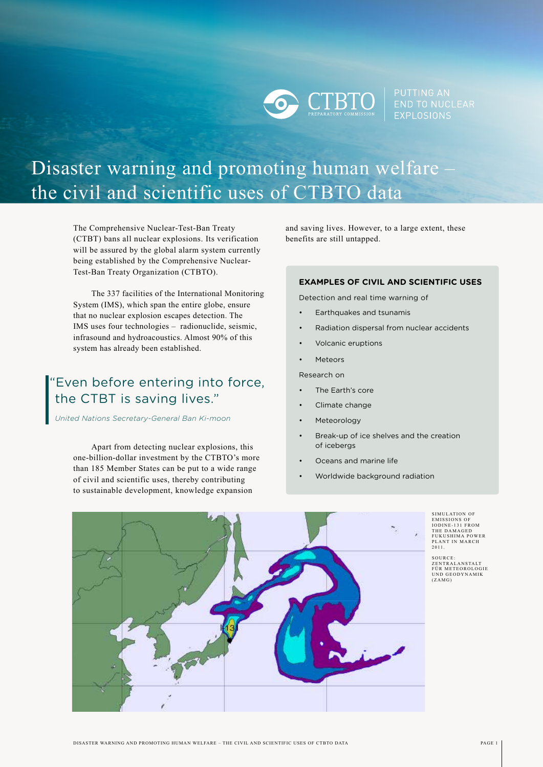**EXPLOSIONS** 

# Disaster warning and promoting human welfare the civil and scientific uses of CTBTO data

The Comprehensive Nuclear-Test-Ban Treaty (CTBT) bans all nuclear explosions. Its verification will be assured by the global alarm system currently being established by the Comprehensive Nuclear-Test-Ban Treaty Organization (CTBTO).

The 337 facilities of the International Monitoring System (IMS), which span the entire globe, ensure that no nuclear explosion escapes detection. The IMS uses four technologies – radionuclide, seismic, infrasound and hydroacoustics. Almost 90% of this system has already been established.

# "Even before entering into force, the CTBT is saving lives."

*United Nations Secretary-General Ban Ki-moon*

Apart from detecting nuclear explosions, this one-billion-dollar investment by the CTBTO's more than 185 Member States can be put to a wide range of civil and scientific uses, thereby contributing to sustainable development, knowledge expansion

and saving lives. However, to a large extent, these benefits are still untapped.

#### **EXAMPLES OF CIVIL AND SCIENTIFIC USES**

Detection and real time warning of

- Earthquakes and tsunamis
- Radiation dispersal from nuclear accidents
- Volcanic eruptions
- **Meteors**

Research on

- The Earth's core
- Climate change
- **Meteorology**
- Break-up of ice shelves and the creation of icebergs
- Oceans and marine life
- Worldwide background radiation

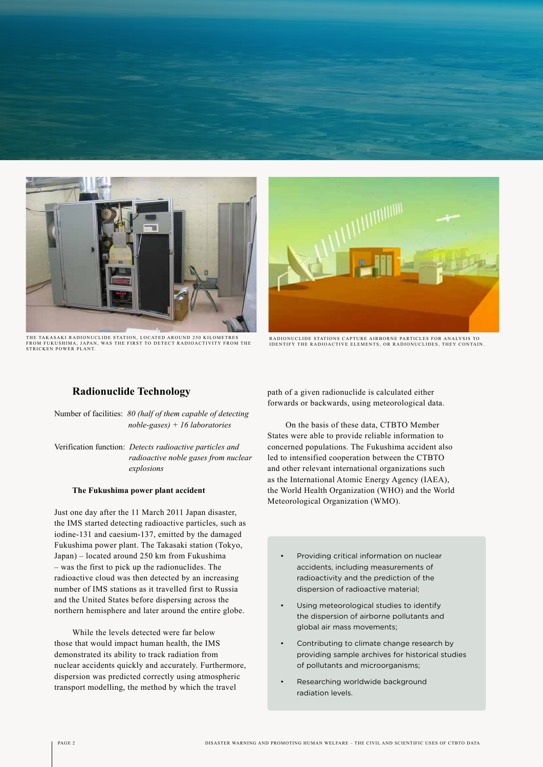

THE TAKASAKI RADIONUCLIDE STATION, LOCATED AROUND 250 KILOMETRES<br>FROM FUKUSHIMA, JAPAN, WAS THE FIRST TO DETECT RADIOACTIVITY FROM THE<br>STRICKEN POWER PLANT.



RADIONUCLIDE STATIONS CAPTURE AIRBORNE PARTICLES FOR ANALYSIS TO IDENTIFY THE RADIOACTIVE ELEMENTS, OR RADIONUCLIDES, THEY CONTAIN.

# **Radionuclide Technology**

Number of facilities: *80 (half of them capable of detecting noble-gases) + 16 laboratories*

Verification function: *Detects radioactive particles and radioactive noble gases from nuclear explosions*

#### **The Fukushima power plant accident**

Just one day after the 11 March 2011 Japan disaster, the IMS started detecting radioactive particles, such as iodine-131 and caesium-137, emitted by the damaged Fukushima power plant. The Takasaki station (Tokyo, Japan) – located around 250 km from Fukushima – was the first to pick up the radionuclides. The radioactive cloud was then detected by an increasing number of IMS stations as it travelled first to Russia and the United States before dispersing across the northern hemisphere and later around the entire globe.

While the levels detected were far below those that would impact human health, the IMS demonstrated its ability to track radiation from nuclear accidents quickly and accurately. Furthermore, dispersion was predicted correctly using atmospheric transport modelling, the method by which the travel

path of a given radionuclide is calculated either forwards or backwards, using meteorological data.

On the basis of these data, CTBTO Member States were able to provide reliable information to concerned populations. The Fukushima accident also led to intensified cooperation between the CTBTO and other relevant international organizations such as the International Atomic Energy Agency (IAEA), the World Health Organization (WHO) and the World Meteorological Organization (WMO).

- Providing critical information on nuclear accidents, including measurements of radioactivity and the prediction of the dispersion of radioactive material;
- Using meteorological studies to identify the dispersion of airborne pollutants and global air mass movements;
- Contributing to climate change research by providing sample archives for historical studies of pollutants and microorganisms;
- Researching worldwide background radiation levels.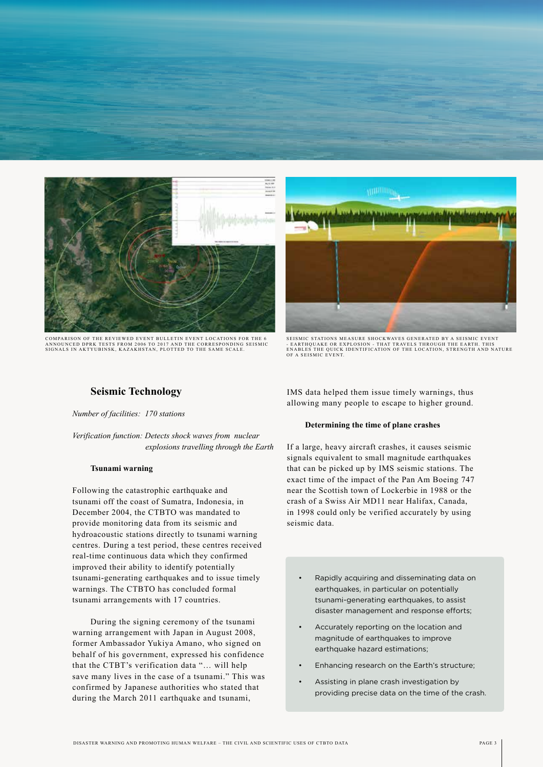

COMPARISON OF THE REVIEWED EVENT BULLETIN EVENT LOCATIONS FOR THE 6 ANNOUNCED DPRK TESTS FROM 2006 TO 2017 AND THE CORRESPONDING SEISMIC<br>SIGNALS IN AKTYUBINSK, KAZAKHSTAN, PLOTTED TO THE SAME SCALE.



SEISMIC STATIONS MEASURE SHOCKWAVES GENERATED BY A SEISMIC EVENT<br>- EARTHQUAKE OR EXPLOSION - THAT TRAVELS THROUGH THE EARTH. THIS<br>ENABLES THE QUICK IDENTIFICATION OF THE LOCATION, STRENGTH AND NATURE<br>OF A SEISMIC EVENT.

# **Seismic Technology**

*Number of facilities: 170 stations*

*Verification function: Detects shock waves from nuclear explosions travelling through the Earth*

#### **Tsunami warning**

Following the catastrophic earthquake and tsunami off the coast of Sumatra, Indonesia, in December 2004, the CTBTO was mandated to provide monitoring data from its seismic and hydroacoustic stations directly to tsunami warning centres. During a test period, these centres received real-time continuous data which they confirmed improved their ability to identify potentially tsunami-generating earthquakes and to issue timely warnings. The CTBTO has concluded formal tsunami arrangements with 17 countries.

During the signing ceremony of the tsunami warning arrangement with Japan in August 2008, former Ambassador Yukiya Amano, who signed on behalf of his government, expressed his confidence that the CTBT's verification data "… will help save many lives in the case of a tsunami." This was confirmed by Japanese authorities who stated that during the March 2011 earthquake and tsunami,

IMS data helped them issue timely warnings, thus allowing many people to escape to higher ground.

#### **Determining the time of plane crashes**

If a large, heavy aircraft crashes, it causes seismic signals equivalent to small magnitude earthquakes that can be picked up by IMS seismic stations. The exact time of the impact of the Pan Am Boeing 747 near the Scottish town of Lockerbie in 1988 or the crash of a Swiss Air MD11 near Halifax, Canada, in 1998 could only be verified accurately by using seismic data.

- Rapidly acquiring and disseminating data on earthquakes, in particular on potentially tsunami-generating earthquakes, to assist disaster management and response efforts;
- Accurately reporting on the location and magnitude of earthquakes to improve earthquake hazard estimations:
- Enhancing research on the Earth's structure;
- Assisting in plane crash investigation by providing precise data on the time of the crash.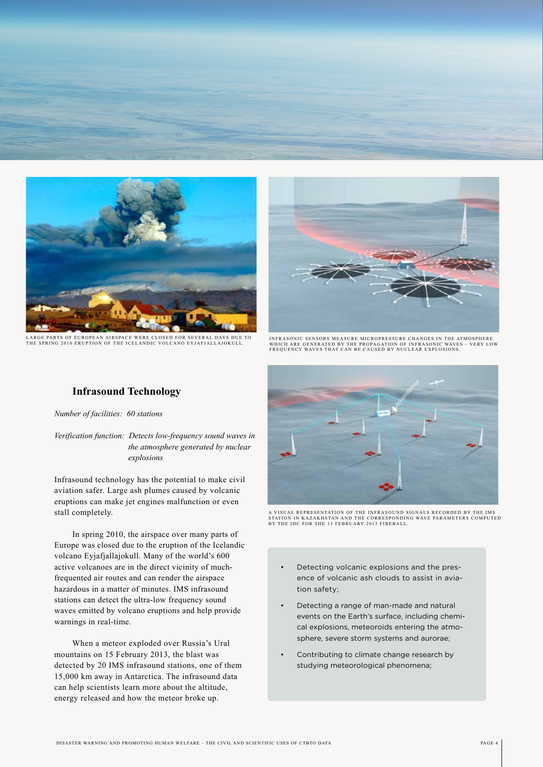

LARGE PARTS OF EUROPEAN AIRSPACE WERE CLOSED FOR SEVERAL DAYS DUE TO<br>THE SPRING 2010 ERUPTION OF THE ICELANDIC VOLCANO EYJAFJALLAJOKULL.



IN FRASONIC SENSORS MEASURE MICROPRESSURE CHANGES IN THE ATMOSPHERE<br>WHICH ARE GENERATED BY THE RROBAGATION OF INERASONIC WAVES - VERY LOW WHICH ARE GENERATED BY THE PROPAGATION OF INFRASONIC WAVES – VERY LOW<br>FREQUENCY WAVES THAT CAN BE CAUSED BY NUCLEAR EXPLOSIONS.

# **Infrasound Technology**

*Number of facilities: 60 stations*

*Verification function: Detects low-frequency sound waves in the atmosphere generated by nuclear explosions*

Infrasound technology has the potential to make civil aviation safer. Large ash plumes caused by volcanic eruptions can make jet engines malfunction or even stall completely.

In spring 2010, the airspace over many parts of Europe was closed due to the eruption of the Icelandic volcano Eyjafjallajokull. Many of the world's 600 active volcanoes are in the direct vicinity of muchfrequented air routes and can render the airspace hazardous in a matter of minutes. IMS infrasound stations can detect the ultra-low frequency sound waves emitted by volcano eruptions and help provide warnings in real-time.

When a meteor exploded over Russia's Ural mountains on 15 February 2013, the blast was detected by 20 IMS infrasound stations, one of them 15,000 km away in Antarctica. The infrasound data can help scientists learn more about the altitude, energy released and how the meteor broke up.



A VISUAL REPRESENTATION OF THE INFRASOUND SIGNALS RECORDED BY THE IMS<br>STATION IN KAZAKHSTAN AND THE CORRESPONDING WAVE PARAMETERS COMPUTED<br>BY THE IDC FOR THE 15 FEBRUARY 2013 FIREBALL.

- Detecting volcanic explosions and the presence of volcanic ash clouds to assist in aviation safety;
- Detecting a range of man-made and natural events on the Earth's surface, including chemical explosions, meteoroids entering the atmosphere, severe storm systems and aurorae;
- Contributing to climate change research by studying meteorological phenomena;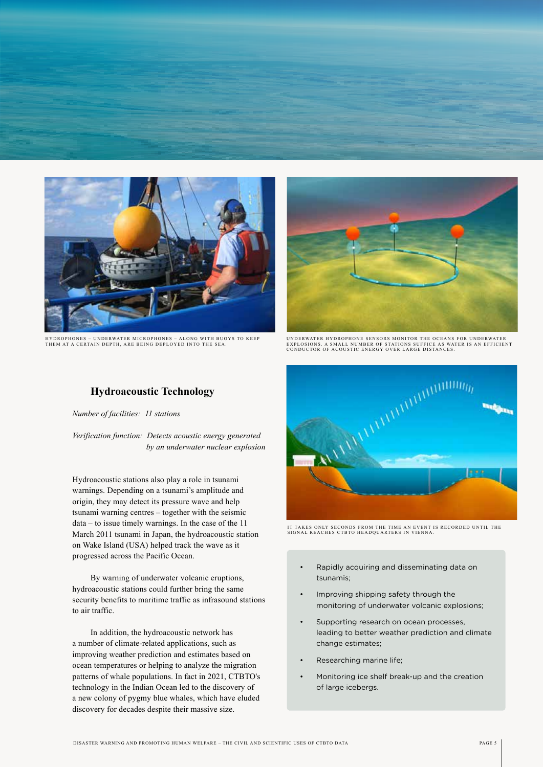

HYDROPHONES – UNDERWATER MICROPHONES – ALONG WITH BUOYS TO KEEP<br>THEM AT A CERTAIN DEPTH, ARE BEING DEPLOYED INTO THE SEA.



UNDERWATER HYDROPHONE SENSORS MONITOR THE OCEANS FOR UNDERWATER EXPLOSIONS. A SMALL NUMBER OF STATIONS SUFFICE AS WATER IS AN EFFICIENT<br>CONDUCTOR OF ACOUSTIC ENERGY OVER LARGE DISTANCES.

# **Hydroacoustic Technology**

*Number of facilities: 11 stations*

*Verification function: Detects acoustic energy generated by an underwater nuclear explosion*

Hydroacoustic stations also play a role in tsunami warnings. Depending on a tsunami's amplitude and origin, they may detect its pressure wave and help tsunami warning centres – together with the seismic data – to issue timely warnings. In the case of the 11 March 2011 tsunami in Japan, the hydroacoustic station on Wake Island (USA) helped track the wave as it progressed across the Pacific Ocean.

By warning of underwater volcanic eruptions, hydroacoustic stations could further bring the same security benefits to maritime traffic as infrasound stations to air traffic.

In addition, the hydroacoustic network has a number of climate-related applications, such as improving weather prediction and estimates based on ocean temperatures or helping to analyze the migration patterns of whale populations. In fact in 2021, CTBTO's technology in the Indian Ocean led to the discovery of a new colony of pygmy blue whales, which have eluded discovery for decades despite their massive size.



IT TAKES ONLY SECONDS FROM THE TIME AN EVENT IS RECORDED UNTIL THE<br>SIGNAL REACHES CTBTO HEADQUARTERS IN VIENNA.

- Rapidly acquiring and disseminating data on tsunamis;
- Improving shipping safety through the monitoring of underwater volcanic explosions;
- Supporting research on ocean processes, leading to better weather prediction and climate change estimates;
- Researching marine life;
- Monitoring ice shelf break-up and the creation of large icebergs.